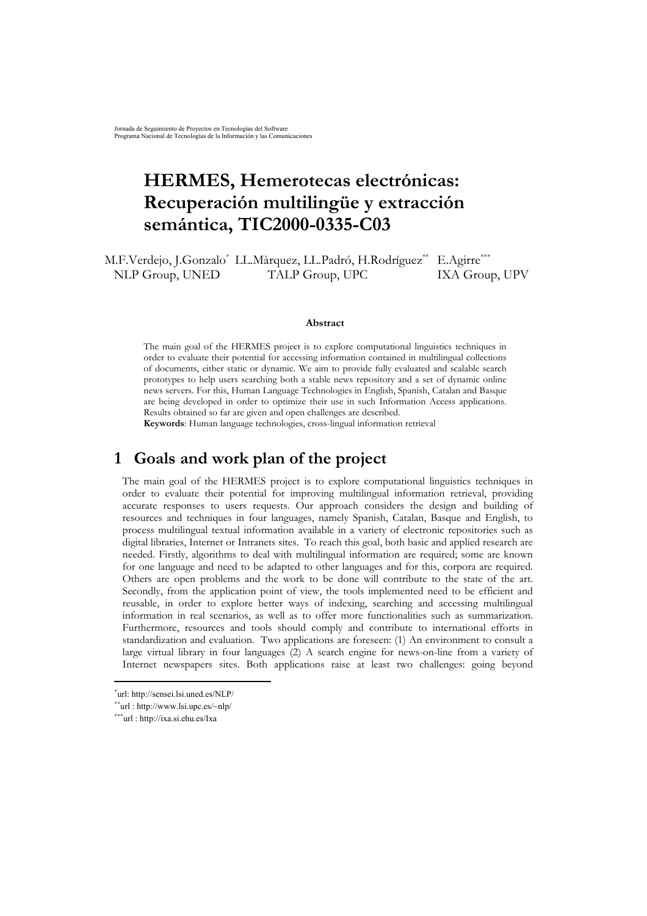# <span id="page-0-2"></span>**HERMES, Hemerotecas electrónicas: Recuperación multilingüe y extracción semántica, TIC2000-0335-C03**

M.F.Verdejo, J.Gonzalo[\\*](#page-0-0) LL.Màrquez, LL.Padró, H.Rodríguez[\\*\\*](#page-0-1) E.Agirre[\\*\\*\\*](#page-0-2) NLP Group, UNED TALP Group, UPC IXA Group, UPV

#### **Abstract**

The main goal of the HERMES project is to explore computational linguistics techniques in order to evaluate their potential for accessing information contained in multilingual collections of documents, either static or dynamic. We aim to provide fully evaluated and scalable search prototypes to help users searching both a stable news repository and a set of dynamic online news servers. For this, Human Language Technologies in English, Spanish, Catalan and Basque are being developed in order to optimize their use in such Information Access applications. Results obtained so far are given and open challenges are described.

**Keywords**: Human language technologies, cross-lingual information retrieval

# **1 Goals and work plan of the project**

The main goal of the HERMES project is to explore computational linguistics techniques in order to evaluate their potential for improving multilingual information retrieval, providing accurate responses to users requests. Our approach considers the design and building of resources and techniques in four languages, namely Spanish, Catalan, Basque and English, to process multilingual textual information available in a variety of electronic repositories such as digital libraries, Internet or Intranets sites. To reach this goal, both basic and applied research are needed. Firstly, algorithms to deal with multilingual information are required; some are known for one language and need to be adapted to other languages and for this, corpora are required. Others are open problems and the work to be done will contribute to the state of the art. Secondly, from the application point of view, the tools implemented need to be efficient and reusable, in order to explore better ways of indexing, searching and accessing multilingual information in real scenarios, as well as to offer more functionalities such as summarization. Furthermore, resources and tools should comply and contribute to international efforts in standardization and evaluation. Two applications are foreseen: (1) An environment to consult a large virtual library in four languages (2) A search engine for news-on-line from a variety of Internet newspapers sites. Both applications raise at least two challenges: going beyond

 $\overline{a}$ 

<span id="page-0-0"></span><sup>\*</sup>url: http://sensei.lsi.uned.es/NLP/

<span id="page-0-1"></span><sup>\*\*</sup>url : http://www.lsi.upc.es/~nlp/

<sup>\*\*\*</sup>url : http://ixa.si.ehu.es/Ixa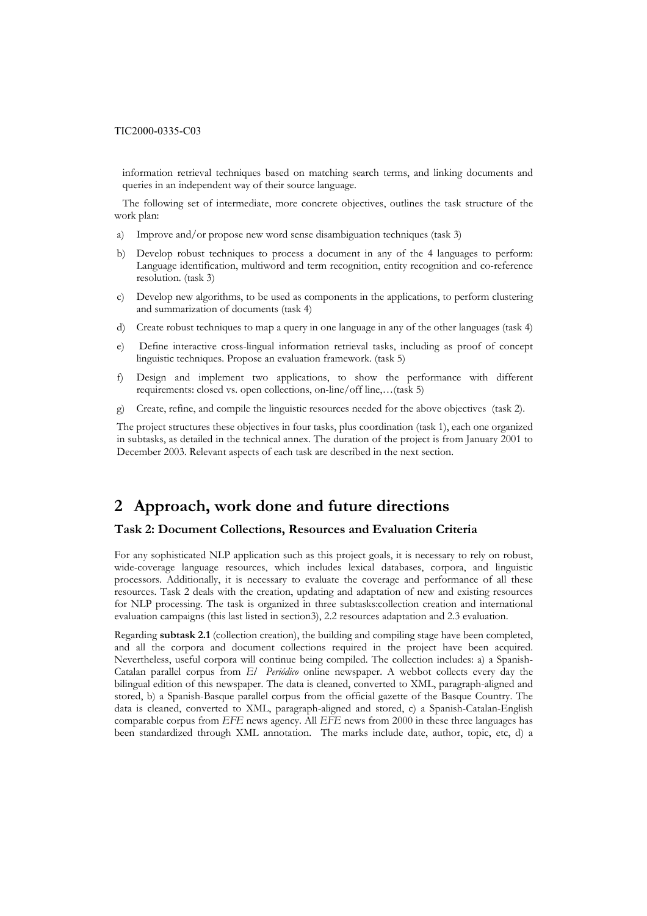information retrieval techniques based on matching search terms, and linking documents and queries in an independent way of their source language.

 The following set of intermediate, more concrete objectives, outlines the task structure of the work plan:

- a) Improve and/or propose new word sense disambiguation techniques (task 3)
- b) Develop robust techniques to process a document in any of the 4 languages to perform: Language identification, multiword and term recognition, entity recognition and co-reference resolution. (task 3)
- c) Develop new algorithms, to be used as components in the applications, to perform clustering and summarization of documents (task 4)
- d) Create robust techniques to map a query in one language in any of the other languages (task 4)
- e) Define interactive cross-lingual information retrieval tasks, including as proof of concept linguistic techniques. Propose an evaluation framework. (task 5)
- f) Design and implement two applications, to show the performance with different requirements: closed vs. open collections, on-line/off line,…(task 5)
- g) Create, refine, and compile the linguistic resources needed for the above objectives (task 2).

The project structures these objectives in four tasks, plus coordination (task 1), each one organized in subtasks, as detailed in the technical annex. The duration of the project is from January 2001 to December 2003. Relevant aspects of each task are described in the next section.

# **2 Approach, work done and future directions**

# **Task 2: Document Collections, Resources and Evaluation Criteria**

For any sophisticated NLP application such as this project goals, it is necessary to rely on robust, wide-coverage language resources, which includes lexical databases, corpora, and linguistic processors. Additionally, it is necessary to evaluate the coverage and performance of all these resources. Task 2 deals with the creation, updating and adaptation of new and existing resources for NLP processing. The task is organized in three subtasks:collection creation and international evaluation campaigns (this last listed in section3), 2.2 resources adaptation and 2.3 evaluation.

Regarding **subtask 2.1** (collection creation), the building and compiling stage have been completed, and all the corpora and document collections required in the project have been acquired. Nevertheless, useful corpora will continue being compiled. The collection includes: a) a Spanish-Catalan parallel corpus from *El Periódico* online newspaper. A webbot collects every day the bilingual edition of this newspaper. The data is cleaned, converted to XML, paragraph-aligned and stored, b) a Spanish-Basque parallel corpus from the official gazette of the Basque Country. The data is cleaned, converted to XML, paragraph-aligned and stored, c) a Spanish-Catalan-English comparable corpus from *EFE* news agency. All *EFE* news from 2000 in these three languages has been standardized through XML annotation. The marks include date, author, topic, etc, d) a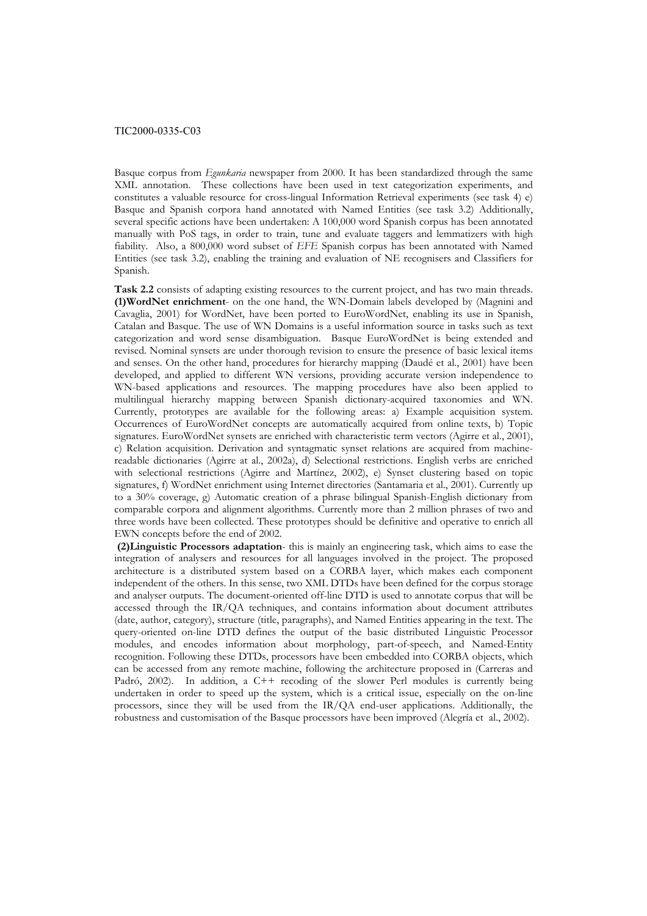Basque corpus from *Egunkaria* newspaper from 2000. It has been standardized through the same XML annotation. These collections have been used in text categorization experiments, and constitutes a valuable resource for cross-lingual Information Retrieval experiments (see task 4) e) Basque and Spanish corpora hand annotated with Named Entities (see task 3.2) Additionally, several specific actions have been undertaken: A 100,000 word Spanish corpus has been annotated manually with PoS tags, in order to train, tune and evaluate taggers and lemmatizers with high fiability. Also, a 800,000 word subset of *EFE* Spanish corpus has been annotated with Named Entities (see task 3.2), enabling the training and evaluation of NE recognisers and Classifiers for Spanish.

**Task 2.2** consists of adapting existing resources to the current project, and has two main threads. **(1)WordNet enrichment**- on the one hand, the WN-Domain labels developed by (Magnini and Cavaglia, 2001) for WordNet, have been ported to EuroWordNet, enabling its use in Spanish, Catalan and Basque. The use of WN Domains is a useful information source in tasks such as text categorization and word sense disambiguation. Basque EuroWordNet is being extended and revised. Nominal synsets are under thorough revision to ensure the presence of basic lexical items and senses. On the other hand, procedures for hierarchy mapping (Daudé et al., 2001) have been developed, and applied to different WN versions, providing accurate version independence to WN-based applications and resources. The mapping procedures have also been applied to multilingual hierarchy mapping between Spanish dictionary-acquired taxonomies and WN. Currently, prototypes are available for the following areas: a) Example acquisition system. Occurrences of EuroWordNet concepts are automatically acquired from online texts, b) Topic signatures. EuroWordNet synsets are enriched with characteristic term vectors (Agirre et al., 2001), c) Relation acquisition. Derivation and syntagmatic synset relations are acquired from machinereadable dictionaries (Agirre at al., 2002a), d) Selectional restrictions. English verbs are enriched with selectional restrictions (Agirre and Martínez, 2002), e) Synset clustering based on topic signatures, f) WordNet enrichment using Internet directories (Santamaria et al., 2001). Currently up to a 30% coverage, g) Automatic creation of a phrase bilingual Spanish-English dictionary from comparable corpora and alignment algorithms. Currently more than 2 million phrases of two and three words have been collected. These prototypes should be definitive and operative to enrich all EWN concepts before the end of 2002.

 **(2)Linguistic Processors adaptation**- this is mainly an engineering task, which aims to ease the integration of analysers and resources for all languages involved in the project. The proposed architecture is a distributed system based on a CORBA layer, which makes each component independent of the others. In this sense, two XML DTDs have been defined for the corpus storage and analyser outputs. The document-oriented off-line DTD is used to annotate corpus that will be accessed through the IR/QA techniques, and contains information about document attributes (date, author, category), structure (title, paragraphs), and Named Entities appearing in the text. The query-oriented on-line DTD defines the output of the basic distributed Linguistic Processor modules, and encodes information about morphology, part-of-speech, and Named-Entity recognition. Following these DTDs, processors have been embedded into CORBA objects, which can be accessed from any remote machine, following the architecture proposed in (Carreras and Padró, 2002). In addition, a C++ recoding of the slower Perl modules is currently being undertaken in order to speed up the system, which is a critical issue, especially on the on-line processors, since they will be used from the IR/QA end-user applications. Additionally, the robustness and customisation of the Basque processors have been improved (Alegría et al., 2002).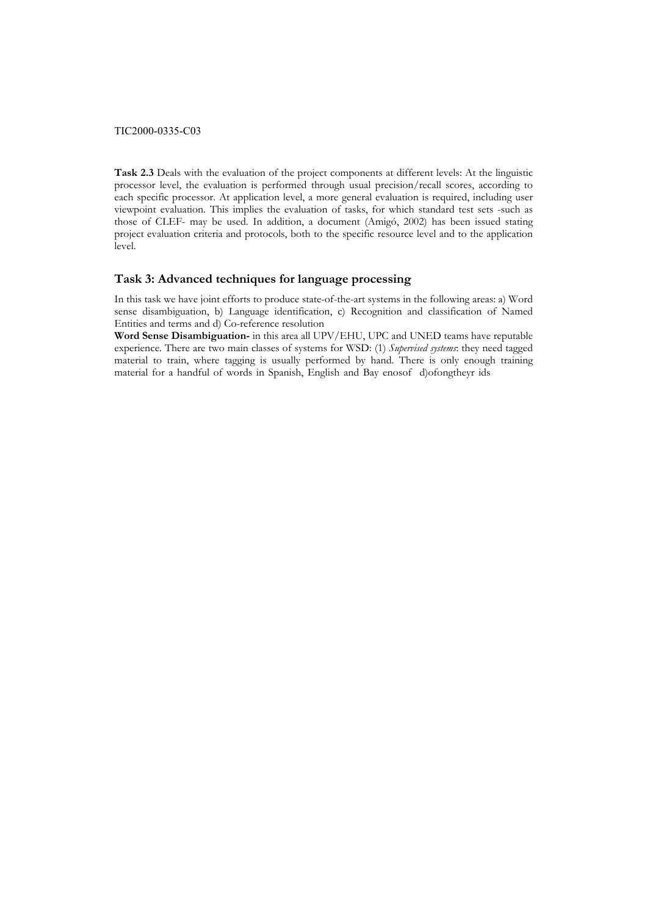**Task 2.3** Deals with the evaluation of the project components at different levels: At the linguistic processor level, the evaluation is performed through usual precision/recall scores, according to each specific processor. At application level, a more general evaluation is required, including user viewpoint evaluation. This implies the evaluation of tasks, for which standard test sets -such as those of CLEF- may be used. In addition, a document (Amigó, 2002) has been issued stating project evaluation criteria and protocols, both to the specific resource level and to the application level.

# **Task 3: Advanced techniques for language processing**

In this task we have joint efforts to produce state-of-the-art systems in the following areas: a) Word sense disambiguation, b) Language identification, c) Recognition and classification of Named Entities and terms and d) Co-reference resolution

**Word Sense Disambiguation-** in this area all UPV/EHU, UPC and UNED teams have reputable experience. There are two main classes of systems for a WSDtehts Supervised systems: they need tagged material to train, where tagging is usually performed by hand. There is only enough training material for a handful of words in Spanish, English and Bay enosof d)ofongtheyr ids tternspermised Systems for the systems of the systems the second tanged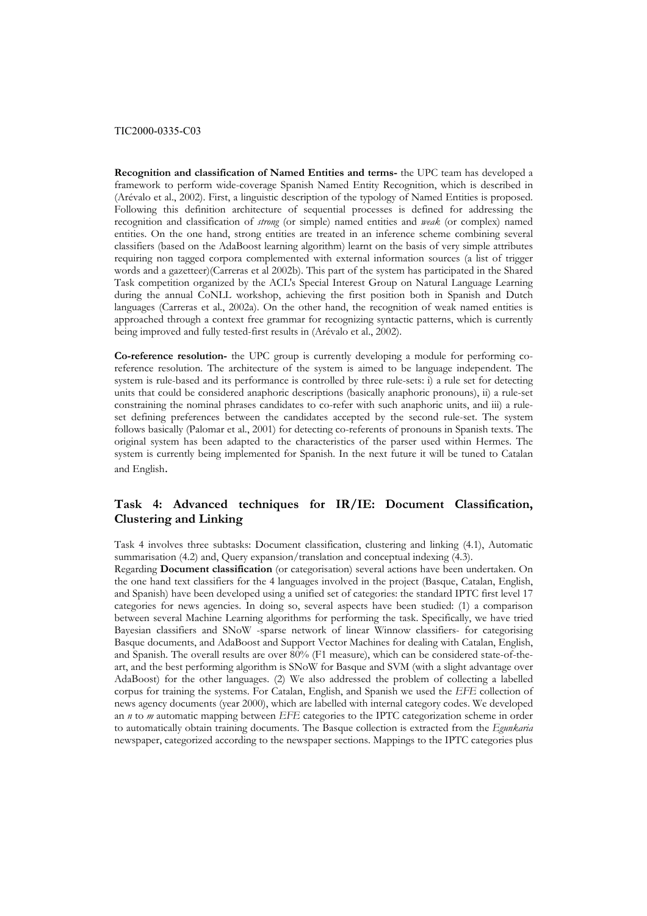**Recognition and classification of Named Entities and terms-** the UPC team has developed a framework to perform wide-coverage Spanish Named Entity Recognition, which is described in (Arévalo et al., 2002). First, a linguistic description of the typology of Named Entities is proposed. Following this definition architecture of sequential processes is defined for addressing the recognition and classification of *strong* (or simple) named entities and *weak* (or complex) named entities. On the one hand, strong entities are treated in an inference scheme combining several classifiers (based on the AdaBoost learning algorithm) learnt on the basis of very simple attributes requiring non tagged corpora complemented with external information sources (a list of trigger words and a gazetteer)(Carreras et al 2002b). This part of the system has participated in the Shared Task competition organized by the ACL's Special Interest Group on Natural Language Learning during the annual CoNLL workshop, achieving the first position both in Spanish and Dutch languages (Carreras et al., 2002a). On the other hand, the recognition of weak named entities is approached through a context free grammar for recognizing syntactic patterns, which is currently being improved and fully tested-first results in (Arévalo et al., 2002).

**Co-reference resolution-** the UPC group is currently developing a module for performing coreference resolution. The architecture of the system is aimed to be language independent. The system is rule-based and its performance is controlled by three rule-sets: i) a rule set for detecting units that could be considered anaphoric descriptions (basically anaphoric pronouns), ii) a rule-set constraining the nominal phrases candidates to co-refer with such anaphoric units, and iii) a ruleset defining preferences between the candidates accepted by the second rule-set. The system follows basically (Palomar et al., 2001) for detecting co-referents of pronouns in Spanish texts. The original system has been adapted to the characteristics of the parser used within Hermes. The system is currently being implemented for Spanish. In the next future it will be tuned to Catalan and English.

# **Task 4: Advanced techniques for IR/IE: Document Classification, Clustering and Linking**

Task 4 involves three subtasks: Document classification, clustering and linking (4.1), Automatic summarisation (4.2) and, Query expansion/translation and conceptual indexing (4.3).

Regarding **Document classification** (or categorisation) several actions have been undertaken. On the one hand text classifiers for the 4 languages involved in the project (Basque, Catalan, English, and Spanish) have been developed using a unified set of categories: the standard IPTC first level 17 categories for news agencies. In doing so, several aspects have been studied: (1) a comparison between several Machine Learning algorithms for performing the task. Specifically, we have tried Bayesian classifiers and SNoW -sparse network of linear Winnow classifiers- for categorising Basque documents, and AdaBoost and Support Vector Machines for dealing with Catalan, English, and Spanish. The overall results are over 80% (F1 measure), which can be considered state-of-theart, and the best performing algorithm is SNoW for Basque and SVM (with a slight advantage over AdaBoost) for the other languages. (2) We also addressed the problem of collecting a labelled corpus for training the systems. For Catalan, English, and Spanish we used the *EFE* collection of news agency documents (year 2000), which are labelled with internal category codes. We developed an *n* to *m* automatic mapping between *EFE* categories to the IPTC categorization scheme in order to automatically obtain training documents. The Basque collection is extracted from the *Egunkaria* newspaper, categorized according to the newspaper sections. Mappings to the IPTC categories plus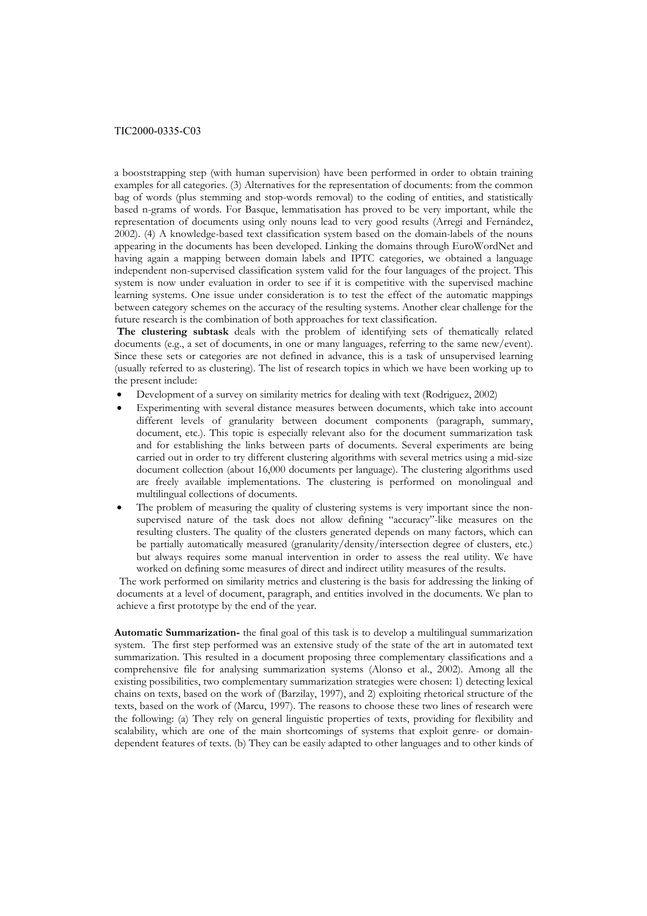a booststrapping step (with human supervision) have been performed in order to obtain training examples for all categories. (3) Alternatives for the representation of documents: from the common bag of words (plus stemming and stop-words removal) to the coding of entities, and statistically based n-grams of words. For Basque, lemmatisation has proved to be very important, while the representation of documents using only nouns lead to very good results (Arregi and Fernández, 2002). (4) A knowledge-based text classification system based on the domain-labels of the nouns appearing in the documents has been developed. Linking the domains through EuroWordNet and having again a mapping between domain labels and IPTC categories, we obtained a language independent non-supervised classification system valid for the four languages of the project. This system is now under evaluation in order to see if it is competitive with the supervised machine learning systems. One issue under consideration is to test the effect of the automatic mappings between category schemes on the accuracy of the resulting systems. Another clear challenge for the future research is the combination of both approaches for text classification.

**The clustering subtask** deals with the problem of identifying sets of thematically related documents (e.g., a set of documents, in one or many languages, referring to the same new/event). Since these sets or categories are not defined in advance, this is a task of unsupervised learning (usually referred to as clustering). The list of research topics in which we have been working up to the present include:

- Development of a survey on similarity metrics for dealing with text (Rodriguez, 2002)
- Experimenting with several distance measures between documents, which take into account different levels of granularity between document components (paragraph, summary, document, etc.). This topic is especially relevant also for the document summarization task and for establishing the links between parts of documents. Several experiments are being carried out in order to try different clustering algorithms with several metrics using a mid-size document collection (about 16,000 documents per language). The clustering algorithms used are freely available implementations. The clustering is performed on monolingual and multilingual collections of documents.
- The problem of measuring the quality of clustering systems is very important since the nonsupervised nature of the task does not allow defining "accuracy"-like measures on the resulting clusters. The quality of the clusters generated depends on many factors, which can be partially automatically measured (granularity/density/intersection degree of clusters, etc.) but always requires some manual intervention in order to assess the real utility. We have worked on defining some measures of direct and indirect utility measures of the results.

 The work performed on similarity metrics and clustering is the basis for addressing the linking of documents at a level of document, paragraph, and entities involved in the documents. We plan to achieve a first prototype by the end of the year.

**Automatic Summarization-** the final goal of this task is to develop a multilingual summarization system. The first step performed was an extensive study of the state of the art in automated text summarization. This resulted in a document proposing three complementary classifications and a comprehensive file for analysing summarization systems (Alonso et al., 2002). Among all the existing possibilities, two complementary summarization strategies were chosen: 1) detecting lexical chains on texts, based on the work of (Barzilay, 1997), and 2) exploiting rhetorical structure of the texts, based on the work of (Marcu, 1997). The reasons to choose these two lines of research were the following: (a) They rely on general linguistic properties of texts, providing for flexibility and scalability, which are one of the main shortcomings of systems that exploit genre- or domaindependent features of texts. (b) They can be easily adapted to other languages and to other kinds of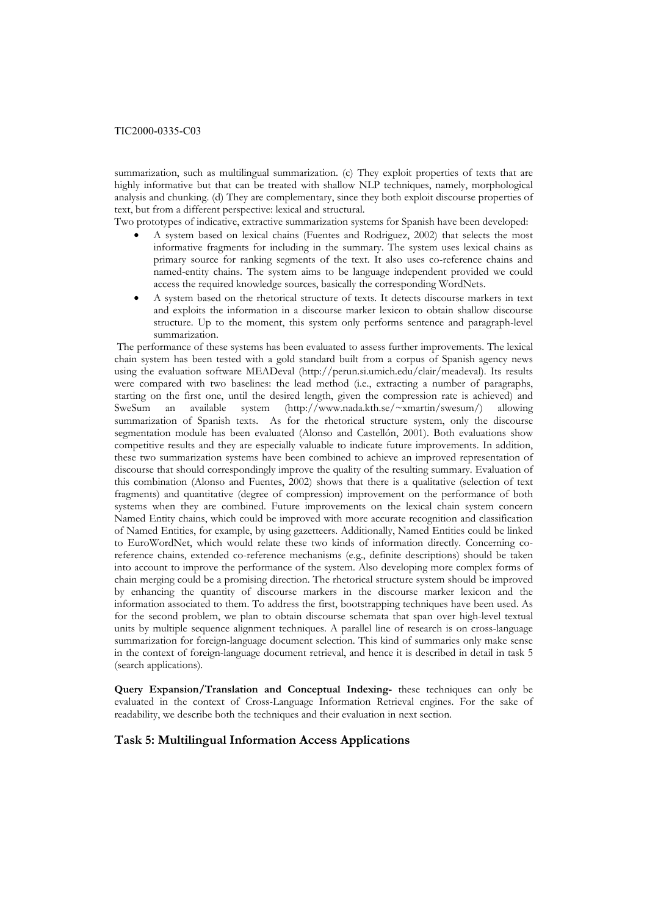summarization, such as multilingual summarization. (c) They exploit properties of texts that are highly informative but that can be treated with shallow NLP techniques, namely, morphological analysis and chunking. (d) They are complementary, since they both exploit discourse properties of text, but from a different perspective: lexical and structural.

Two prototypes of indicative, extractive summarization systems for Spanish have been developed:

- A system based on lexical chains (Fuentes and Rodriguez, 2002) that selects the most informative fragments for including in the summary. The system uses lexical chains as primary source for ranking segments of the text. It also uses co-reference chains and named-entity chains. The system aims to be language independent provided we could access the required knowledge sources, basically the corresponding WordNets.
- A system based on the rhetorical structure of texts. It detects discourse markers in text and exploits the information in a discourse marker lexicon to obtain shallow discourse structure. Up to the moment, this system only performs sentence and paragraph-level summarization.

 The performance of these systems has been evaluated to assess further improvements. The lexical chain system has been tested with a gold standard built from a corpus of Spanish agency news using the evaluation software MEADeval (http://perun.si.umich.edu/clair/meadeval). Its results were compared with two baselines: the lead method (i.e., extracting a number of paragraphs, starting on the first one, until the desired length, given the compression rate is achieved) and SweSum an available system (http://www.nada.kth.se/~xmartin/swesum/) allowing summarization of Spanish texts. As for the rhetorical structure system, only the discourse segmentation module has been evaluated (Alonso and Castellón, 2001). Both evaluations show competitive results and they are especially valuable to indicate future improvements. In addition, these two summarization systems have been combined to achieve an improved representation of discourse that should correspondingly improve the quality of the resulting summary. Evaluation of this combination (Alonso and Fuentes, 2002) shows that there is a qualitative (selection of text fragments) and quantitative (degree of compression) improvement on the performance of both systems when they are combined. Future improvements on the lexical chain system concern Named Entity chains, which could be improved with more accurate recognition and classification of Named Entities, for example, by using gazetteers. Additionally, Named Entities could be linked to EuroWordNet, which would relate these two kinds of information directly. Concerning coreference chains, extended co-reference mechanisms (e.g., definite descriptions) should be taken into account to improve the performance of the system. Also developing more complex forms of chain merging could be a promising direction. The rhetorical structure system should be improved by enhancing the quantity of discourse markers in the discourse marker lexicon and the information associated to them. To address the first, bootstrapping techniques have been used. As for the second problem, we plan to obtain discourse schemata that span over high-level textual units by multiple sequence alignment techniques. A parallel line of research is on cross-language summarization for foreign-language document selection. This kind of summaries only make sense in the context of foreign-language document retrieval, and hence it is described in detail in task 5 (search applications).

**Query Expansion/Translation and Conceptual Indexing-** these techniques can only be evaluated in the context of Cross-Language Information Retrieval engines. For the sake of readability, we describe both the techniques and their evaluation in next section.

# **Task 5: Multilingual Information Access Applications**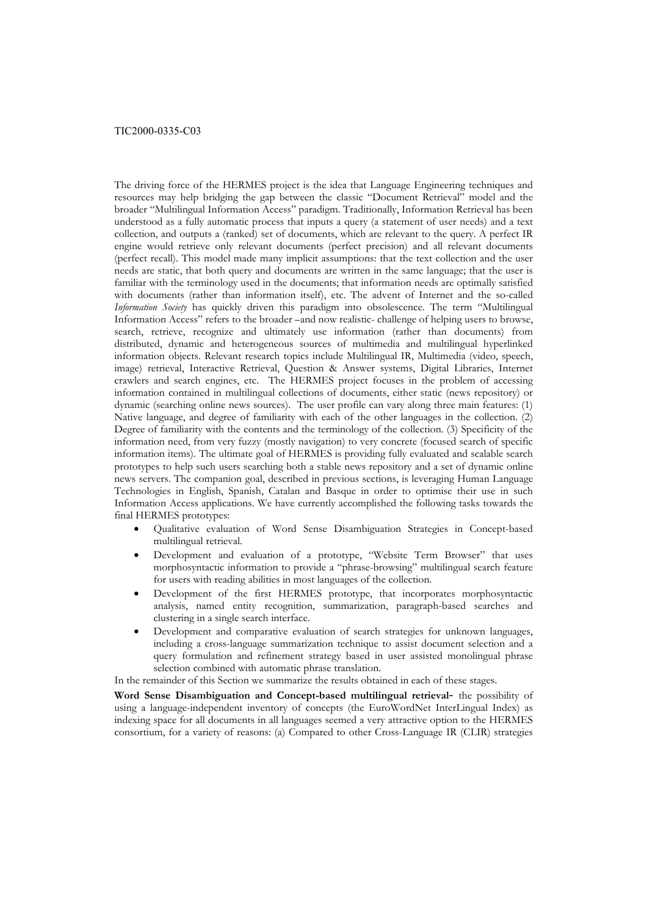The driving force of the HERMES project is the idea that Language Engineering techniques and resources may help bridging the gap between the classic "Document Retrieval" model and the broader "Multilingual Information Access" paradigm. Traditionally, Information Retrieval has been understood as a fully automatic process that inputs a query (a statement of user needs) and a text collection, and outputs a (ranked) set of documents, which are relevant to the query. A perfect IR engine would retrieve only relevant documents (perfect precision) and all relevant documents (perfect recall). This model made many implicit assumptions: that the text collection and the user needs are static, that both query and documents are written in the same language; that the user is familiar with the terminology used in the documents; that information needs are optimally satisfied with documents (rather than information itself), etc. The advent of Internet and the so-called *Information Society* has quickly driven this paradigm into obsolescence. The term "Multilingual Information Access" refers to the broader –and now realistic- challenge of helping users to browse, search, retrieve, recognize and ultimately use information (rather than documents) from distributed, dynamic and heterogeneous sources of multimedia and multilingual hyperlinked information objects. Relevant research topics include Multilingual IR, Multimedia (video, speech, image) retrieval, Interactive Retrieval, Question & Answer systems, Digital Libraries, Internet crawlers and search engines, etc. The HERMES project focuses in the problem of accessing information contained in multilingual collections of documents, either static (news repository) or dynamic (searching online news sources). The user profile can vary along three main features: (1) Native language, and degree of familiarity with each of the other languages in the collection. (2) Degree of familiarity with the contents and the terminology of the collection. (3) Specificity of the information need, from very fuzzy (mostly navigation) to very concrete (focused search of specific information items). The ultimate goal of HERMES is providing fully evaluated and scalable search prototypes to help such users searching both a stable news repository and a set of dynamic online news servers. The companion goal, described in previous sections, is leveraging Human Language Technologies in English, Spanish, Catalan and Basque in order to optimise their use in such Information Access applications. We have currently accomplished the following tasks towards the final HERMES prototypes:

- Qualitative evaluation of Word Sense Disambiguation Strategies in Concept-based multilingual retrieval.
- Development and evaluation of a prototype, "Website Term Browser" that uses morphosyntactic information to provide a "phrase-browsing" multilingual search feature for users with reading abilities in most languages of the collection.
- Development of the first HERMES prototype, that incorporates morphosyntactic analysis, named entity recognition, summarization, paragraph-based searches and clustering in a single search interface.
- Development and comparative evaluation of search strategies for unknown languages, including a cross-language summarization technique to assist document selection and a query formulation and refinement strategy based in user assisted monolingual phrase selection combined with automatic phrase translation.

In the remainder of this Section we summarize the results obtained in each of these stages.

**Word Sense Disambiguation and Concept-based multilingual retrieval**- the possibility of using a language-independent inventory of concepts (the EuroWordNet InterLingual Index) as indexing space for all documents in all languages seemed a very attractive option to the HERMES consortium, for a variety of reasons: (a) Compared to other Cross-Language IR (CLIR) strategies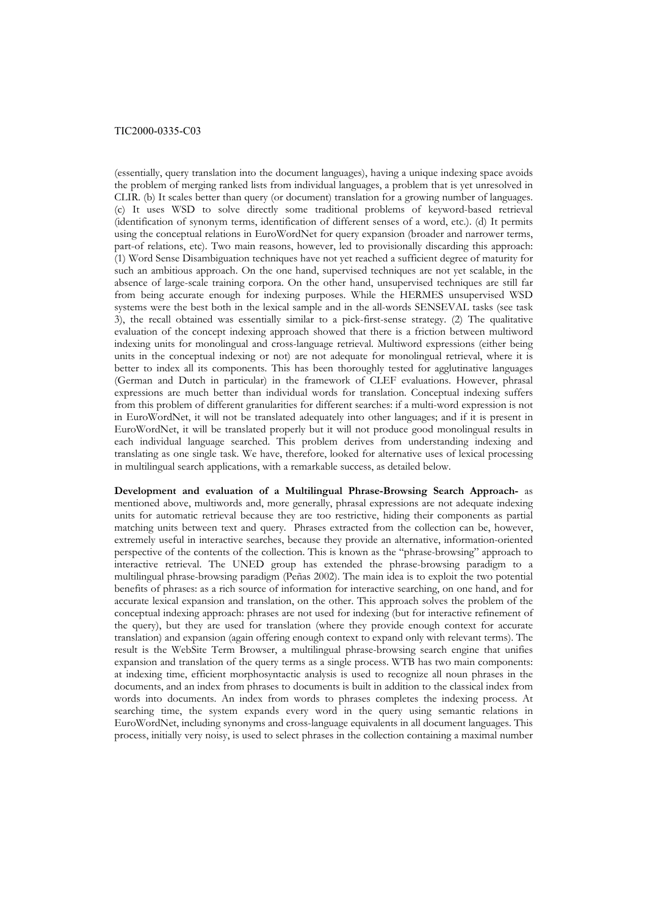(essentially, query translation into the document languages), having a unique indexing space avoids the problem of merging ranked lists from individual languages, a problem that is yet unresolved in CLIR. (b) It scales better than query (or document) translation for a growing number of languages. (c) It uses WSD to solve directly some traditional problems of keyword-based retrieval (identification of synonym terms, identification of different senses of a word, etc.). (d) It permits using the conceptual relations in EuroWordNet for query expansion (broader and narrower terms, part-of relations, etc). Two main reasons, however, led to provisionally discarding this approach: (1) Word Sense Disambiguation techniques have not yet reached a sufficient degree of maturity for such an ambitious approach. On the one hand, supervised techniques are not yet scalable, in the absence of large-scale training corpora. On the other hand, unsupervised techniques are still far from being accurate enough for indexing purposes. While the HERMES unsupervised WSD systems were the best both in the lexical sample and in the all-words SENSEVAL tasks (see task 3), the recall obtained was essentially similar to a pick-first-sense strategy. (2) The qualitative evaluation of the concept indexing approach showed that there is a friction between multiword indexing units for monolingual and cross-language retrieval. Multiword expressions (either being units in the conceptual indexing or not) are not adequate for monolingual retrieval, where it is better to index all its components. This has been thoroughly tested for agglutinative languages (German and Dutch in particular) in the framework of CLEF evaluations. However, phrasal expressions are much better than individual words for translation. Conceptual indexing suffers from this problem of different granularities for different searches: if a multi-word expression is not in EuroWordNet, it will not be translated adequately into other languages; and if it is present in EuroWordNet, it will be translated properly but it will not produce good monolingual results in each individual language searched. This problem derives from understanding indexing and translating as one single task. We have, therefore, looked for alternative uses of lexical processing in multilingual search applications, with a remarkable success, as detailed below.

**Development and evaluation of a Multilingual Phrase-Browsing Search Approach-** as mentioned above, multiwords and, more generally, phrasal expressions are not adequate indexing units for automatic retrieval because they are too restrictive, hiding their components as partial matching units between text and query. Phrases extracted from the collection can be, however, extremely useful in interactive searches, because they provide an alternative, information-oriented perspective of the contents of the collection. This is known as the "phrase-browsing" approach to interactive retrieval. The UNED group has extended the phrase-browsing paradigm to a multilingual phrase-browsing paradigm (Peñas 2002). The main idea is to exploit the two potential benefits of phrases: as a rich source of information for interactive searching, on one hand, and for accurate lexical expansion and translation, on the other. This approach solves the problem of the conceptual indexing approach: phrases are not used for indexing (but for interactive refinement of the query), but they are used for translation (where they provide enough context for accurate translation) and expansion (again offering enough context to expand only with relevant terms). The result is the WebSite Term Browser, a multilingual phrase-browsing search engine that unifies expansion and translation of the query terms as a single process. WTB has two main components: at indexing time, efficient morphosyntactic analysis is used to recognize all noun phrases in the documents, and an index from phrases to documents is built in addition to the classical index from words into documents. An index from words to phrases completes the indexing process. At searching time, the system expands every word in the query using semantic relations in EuroWordNet, including synonyms and cross-language equivalents in all document languages. This process, initially very noisy, is used to select phrases in the collection containing a maximal number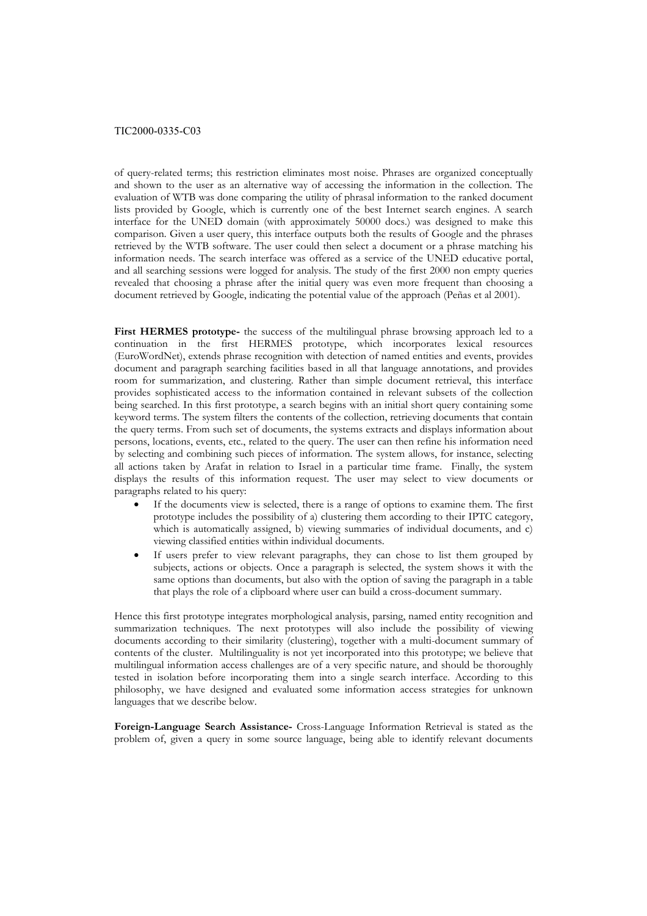of query-related terms; this restriction eliminates most noise. Phrases are organized conceptually and shown to the user as an alternative way of accessing the information in the collection. The evaluation of WTB was done comparing the utility of phrasal information to the ranked document lists provided by Google, which is currently one of the best Internet search engines. A search interface for the UNED domain (with approximately 50000 docs.) was designed to make this comparison. Given a user query, this interface outputs both the results of Google and the phrases retrieved by the WTB software. The user could then select a document or a phrase matching his information needs. The search interface was offered as a service of the UNED educative portal, and all searching sessions were logged for analysis. The study of the first 2000 non empty queries revealed that choosing a phrase after the initial query was even more frequent than choosing a document retrieved by Google, indicating the potential value of the approach (Peñas et al 2001).

First HERMES prototype- the success of the multilingual phrase browsing approach led to a continuation in the first HERMES prototype, which incorporates lexical resources (EuroWordNet), extends phrase recognition with detection of named entities and events, provides document and paragraph searching facilities based in all that language annotations, and provides room for summarization, and clustering. Rather than simple document retrieval, this interface provides sophisticated access to the information contained in relevant subsets of the collection being searched. In this first prototype, a search begins with an initial short query containing some keyword terms. The system filters the contents of the collection, retrieving documents that contain the query terms. From such set of documents, the systems extracts and displays information about persons, locations, events, etc., related to the query. The user can then refine his information need by selecting and combining such pieces of information. The system allows, for instance, selecting all actions taken by Arafat in relation to Israel in a particular time frame. Finally, the system displays the results of this information request. The user may select to view documents or paragraphs related to his query:

- If the documents view is selected, there is a range of options to examine them. The first prototype includes the possibility of a) clustering them according to their IPTC category, which is automatically assigned, b) viewing summaries of individual documents, and c) viewing classified entities within individual documents.
- If users prefer to view relevant paragraphs, they can chose to list them grouped by subjects, actions or objects. Once a paragraph is selected, the system shows it with the same options than documents, but also with the option of saving the paragraph in a table that plays the role of a clipboard where user can build a cross-document summary.

Hence this first prototype integrates morphological analysis, parsing, named entity recognition and summarization techniques. The next prototypes will also include the possibility of viewing documents according to their similarity (clustering), together with a multi-document summary of contents of the cluster. Multilinguality is not yet incorporated into this prototype; we believe that multilingual information access challenges are of a very specific nature, and should be thoroughly tested in isolation before incorporating them into a single search interface. According to this philosophy, we have designed and evaluated some information access strategies for unknown languages that we describe below.

**Foreign-Language Search Assistance-** Cross-Language Information Retrieval is stated as the problem of, given a query in some source language, being able to identify relevant documents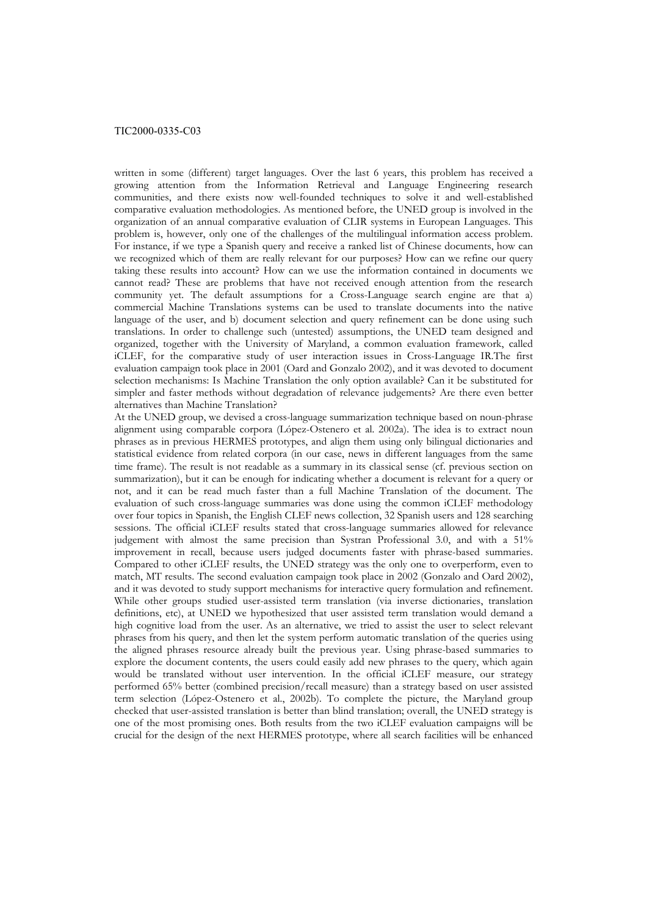written in some (different) target languages. Over the last 6 years, this problem has received a growing attention from the Information Retrieval and Language Engineering research communities, and there exists now well-founded techniques to solve it and well-established comparative evaluation methodologies. As mentioned before, the UNED group is involved in the organization of an annual comparative evaluation of CLIR systems in European Languages. This problem is, however, only one of the challenges of the multilingual information access problem. For instance, if we type a Spanish query and receive a ranked list of Chinese documents, how can we recognized which of them are really relevant for our purposes? How can we refine our query taking these results into account? How can we use the information contained in documents we cannot read? These are problems that have not received enough attention from the research community yet. The default assumptions for a Cross-Language search engine are that a) commercial Machine Translations systems can be used to translate documents into the native language of the user, and b) document selection and query refinement can be done using such translations. In order to challenge such (untested) assumptions, the UNED team designed and organized, together with the University of Maryland, a common evaluation framework, called iCLEF, for the comparative study of user interaction issues in Cross-Language IR.The first evaluation campaign took place in 2001 (Oard and Gonzalo 2002), and it was devoted to document selection mechanisms: Is Machine Translation the only option available? Can it be substituted for simpler and faster methods without degradation of relevance judgements? Are there even better alternatives than Machine Translation?

At the UNED group, we devised a cross-language summarization technique based on noun-phrase alignment using comparable corpora (López-Ostenero et al. 2002a). The idea is to extract noun phrases as in previous HERMES prototypes, and align them using only bilingual dictionaries and statistical evidence from related corpora (in our case, news in different languages from the same time frame). The result is not readable as a summary in its classical sense (cf. previous section on summarization), but it can be enough for indicating whether a document is relevant for a query or not, and it can be read much faster than a full Machine Translation of the document. The evaluation of such cross-language summaries was done using the common iCLEF methodology over four topics in Spanish, the English CLEF news collection, 32 Spanish users and 128 searching sessions. The official iCLEF results stated that cross-language summaries allowed for relevance judgement with almost the same precision than Systran Professional 3.0, and with a 51% improvement in recall, because users judged documents faster with phrase-based summaries. Compared to other iCLEF results, the UNED strategy was the only one to overperform, even to match, MT results. The second evaluation campaign took place in 2002 (Gonzalo and Oard 2002), and it was devoted to study support mechanisms for interactive query formulation and refinement. While other groups studied user-assisted term translation (via inverse dictionaries, translation definitions, etc), at UNED we hypothesized that user assisted term translation would demand a high cognitive load from the user. As an alternative, we tried to assist the user to select relevant phrases from his query, and then let the system perform automatic translation of the queries using the aligned phrases resource already built the previous year. Using phrase-based summaries to explore the document contents, the users could easily add new phrases to the query, which again would be translated without user intervention. In the official iCLEF measure, our strategy performed 65% better (combined precision/recall measure) than a strategy based on user assisted term selection (López-Ostenero et al., 2002b). To complete the picture, the Maryland group checked that user-assisted translation is better than blind translation; overall, the UNED strategy is one of the most promising ones. Both results from the two iCLEF evaluation campaigns will be crucial for the design of the next HERMES prototype, where all search facilities will be enhanced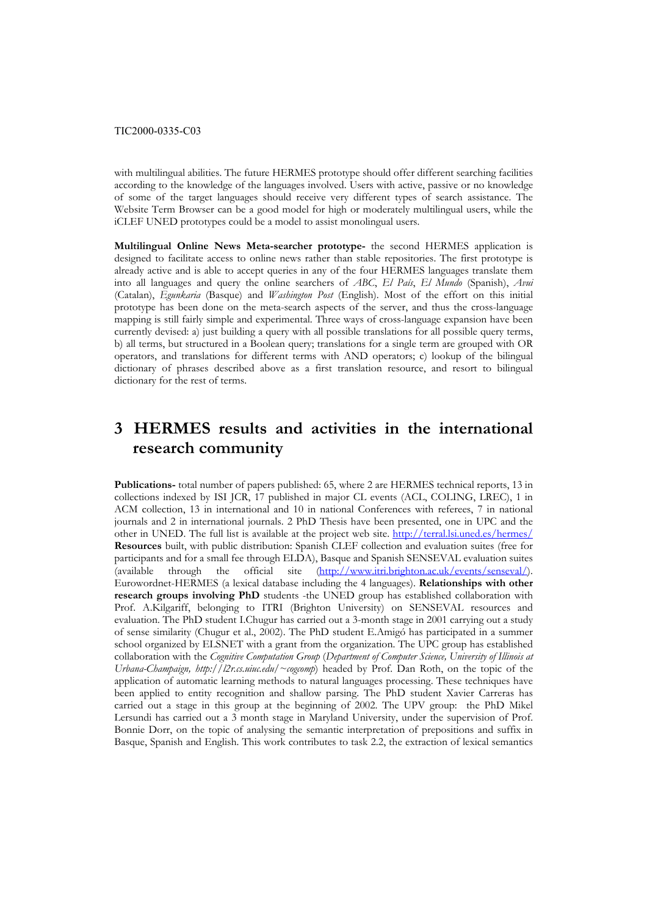with multilingual abilities. The future HERMES prototype should offer different searching facilities according to the knowledge of the languages involved. Users with active, passive or no knowledge of some of the target languages should receive very different types of search assistance. The Website Term Browser can be a good model for high or moderately multilingual users, while the iCLEF UNED prototypes could be a model to assist monolingual users.

**Multilingual Online News Meta-searcher prototype-** the second HERMES application is designed to facilitate access to online news rather than stable repositories. The first prototype is already active and is able to accept queries in any of the four HERMES languages translate them into all languages and query the online searchers of *ABC*, *El País*, *El Mundo* (Spanish), *Avui* (Catalan), *Egunkaria* (Basque) and *Washington Post* (English). Most of the effort on this initial prototype has been done on the meta-search aspects of the server, and thus the cross-language mapping is still fairly simple and experimental. Three ways of cross-language expansion have been currently devised: a) just building a query with all possible translations for all possible query terms, b) all terms, but structured in a Boolean query; translations for a single term are grouped with OR operators, and translations for different terms with AND operators; c) lookup of the bilingual dictionary of phrases described above as a first translation resource, and resort to bilingual dictionary for the rest of terms.

# **3 HERMES results and activities in the international research community**

**Publications-** total number of papers published: 65, where 2 are HERMES technical reports, 13 in collections indexed by ISI JCR, 17 published in major CL events (ACL, COLING, LREC), 1 in ACM collection, 13 in international and 10 in national Conferences with referees, 7 in national journals and 2 in international journals. 2 PhD Thesis have been presented, one in UPC and the other in UNED. The full list is available at the project web site. <http://terral.lsi.uned.es/hermes/> **Resources** built, with public distribution: Spanish CLEF collection and evaluation suites (free for participants and for a small fee through ELDA), Basque and Spanish SENSEVAL evaluation suites (available through the official site ([http://www.itri.brighton.ac.uk/events/senseval/\)](http://www.itri.brighton.ac.uk/events/senseval/). Eurowordnet-HERMES (a lexical database including the 4 languages). **Relationships with other research groups involving PhD** students -the UNED group has established collaboration with Prof. A.Kilgariff, belonging to ITRI (Brighton University) on SENSEVAL resources and evaluation. The PhD student I.Chugur has carried out a 3-month stage in 2001 carrying out a study of sense similarity (Chugur et al., 2002). The PhD student E.Amigó has participated in a summer school organized by ELSNET with a grant from the organization. The UPC group has established collaboration with the *Cognitive Computation Group* (*Department of Computer Science, University of Illinois at Urbana-Champaign, http://l2r.cs.uiuc.edu/~cogcomp*) headed by Prof. Dan Roth, on the topic of the application of automatic learning methods to natural languages processing. These techniques have been applied to entity recognition and shallow parsing. The PhD student Xavier Carreras has carried out a stage in this group at the beginning of 2002. The UPV group: the PhD Mikel Lersundi has carried out a 3 month stage in Maryland University, under the supervision of Prof. Bonnie Dorr, on the topic of analysing the semantic interpretation of prepositions and suffix in Basque, Spanish and English. This work contributes to task 2.2, the extraction of lexical semantics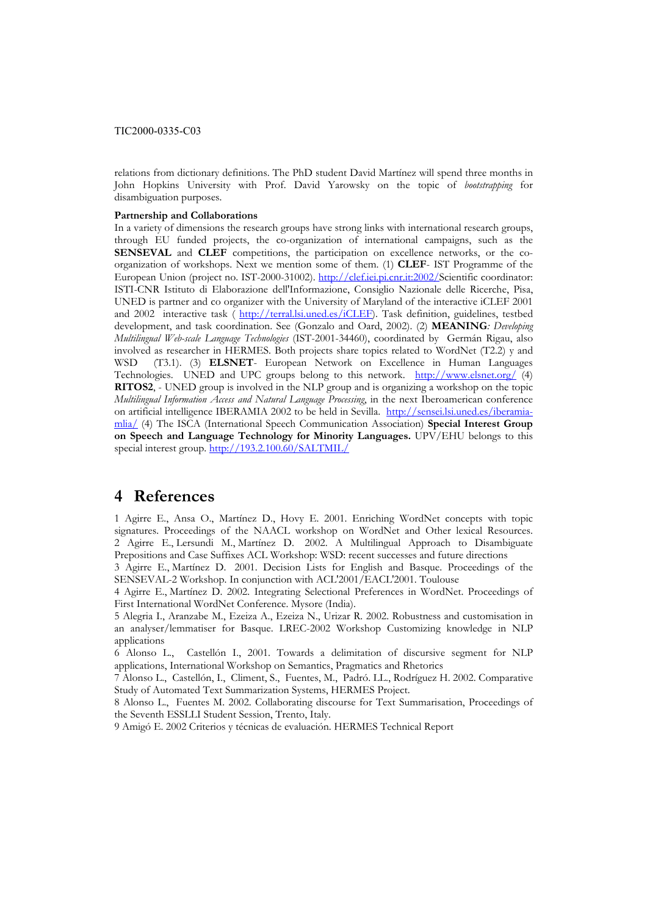relations from dictionary definitions. The PhD student David Martínez will spend three months in John Hopkins University with Prof. David Yarowsky on the topic of *bootstrapping* for disambiguation purposes.

### **Partnership and Collaborations**

In a variety of dimensions the research groups have strong links with international research groups, through EU funded projects, the co-organization of international campaigns, such as the **SENSEVAL** and **CLEF** competitions, the participation on excellence networks, or the coorganization of workshops. Next we mention some of them. (1) **CLEF**- IST Programme of the European Union (project no. IST-2000-31002). [http://clef.iei.pi.cnr.it:2002/S](http://clef.iei.pi.cnr.it:2002/)cientific coordinator: ISTI-CNR Istituto di Elaborazione dell'Informazione, Consiglio Nazionale delle Ricerche, Pisa, UNED is partner and co organizer with the University of Maryland of the interactive iCLEF 2001 and 2002 interactive task ( <http://terral.lsi.uned.es/iCLEF>). Task definition, guidelines, testbed development, and task coordination. See (Gonzalo and Oard, 2002). (2) **MEANING***: Developing Multilingual Web-scale Language Technologies* (IST-2001-34460), coordinated by Germán Rigau, also involved as researcher in HERMES. Both projects share topics related to WordNet (T2.2) y and WSD (T3.1). (3) **ELSNET**- European Network on Excellence in Human Languages Technologies. UNED and UPC groups belong to this network. <http://www.elsnet.org/>(4) **RITOS2**, - UNED group is involved in the NLP group and is organizing a workshop on the topic *Multilingual Information Access and Natural Language Processing*, in the next Iberoamerican conference on artificial intelligence IBERAMIA 2002 to be held in Sevilla. [http://sensei.lsi.uned.es/iberamia](http://sensei.lsi.uned.es/iberamia-mlia/)[mlia/](http://sensei.lsi.uned.es/iberamia-mlia/) (4) The ISCA (International Speech Communication Association) **Special Interest Group on Speech and Language Technology for Minority Languages.** UPV/EHU belongs to this special interest group.<http://193.2.100.60/SALTMIL/>

# **4 References**

1 Agirre E., Ansa O., Martínez D., Hovy E. 2001. Enriching WordNet concepts with topic signatures. Proceedings of the NAACL workshop on WordNet and Other lexical Resources. 2 Agirre E., Lersundi M., Martínez D. 2002. A Multilingual Approach to Disambiguate Prepositions and Case Suffixes ACL Workshop: WSD: recent successes and future directions

3 Agirre E., Martínez D. 2001. Decision Lists for English and Basque. Proceedings of the SENSEVAL-2 Workshop. In conjunction with ACL'2001/EACL'2001. Toulouse

4 Agirre E., Martínez D. 2002. Integrating Selectional Preferences in WordNet. Proceedings of First International WordNet Conference. Mysore (India).

5 Alegria I., Aranzabe M., Ezeiza A., Ezeiza N., Urizar R. 2002. Robustness and customisation in an analyser/lemmatiser for Basque. LREC-2002 Workshop Customizing knowledge in NLP applications

6 Alonso L., Castellón I., 2001. Towards a delimitation of discursive segment for NLP applications, International Workshop on Semantics, Pragmatics and Rhetorics

7 Alonso L., Castellón, I., Climent, S., Fuentes, M., Padró. LL., Rodríguez H. 2002. Comparative Study of Automated Text Summarization Systems, HERMES Project.

8 Alonso L., Fuentes M. 2002. Collaborating discourse for Text Summarisation, Proceedings of the Seventh ESSLLI Student Session, Trento, Italy.

9 Amigó E. 2002 Criterios y técnicas de evaluación. HERMES Technical Report